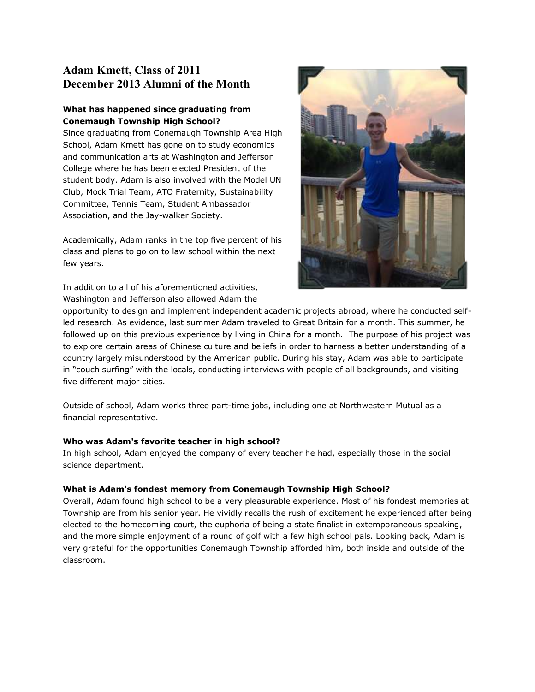## **Adam Kmett, Class of 2011 December 2013 Alumni of the Month**

## **What has happened since graduating from Conemaugh Township High School?**

Since graduating from Conemaugh Township Area High School, Adam Kmett has gone on to study economics and communication arts at Washington and Jefferson College where he has been elected President of the student body. Adam is also involved with the Model UN Club, Mock Trial Team, ATO Fraternity, Sustainability Committee, Tennis Team, Student Ambassador Association, and the Jay-walker Society.

Academically, Adam ranks in the top five percent of his class and plans to go on to law school within the next few years.

In addition to all of his aforementioned activities, Washington and Jefferson also allowed Adam the



opportunity to design and implement independent academic projects abroad, where he conducted selfled research. As evidence, last summer Adam traveled to Great Britain for a month. This summer, he followed up on this previous experience by living in China for a month. The purpose of his project was to explore certain areas of Chinese culture and beliefs in order to harness a better understanding of a country largely misunderstood by the American public. During his stay, Adam was able to participate in "couch surfing" with the locals, conducting interviews with people of all backgrounds, and visiting five different major cities.

Outside of school, Adam works three part-time jobs, including one at Northwestern Mutual as a financial representative.

## **Who was Adam's favorite teacher in high school?**

In high school, Adam enjoyed the company of every teacher he had, especially those in the social science department.

## **What is Adam's fondest memory from Conemaugh Township High School?**

Overall, Adam found high school to be a very pleasurable experience. Most of his fondest memories at Township are from his senior year. He vividly recalls the rush of excitement he experienced after being elected to the homecoming court, the euphoria of being a state finalist in extemporaneous speaking, and the more simple enjoyment of a round of golf with a few high school pals. Looking back, Adam is very grateful for the opportunities Conemaugh Township afforded him, both inside and outside of the classroom.